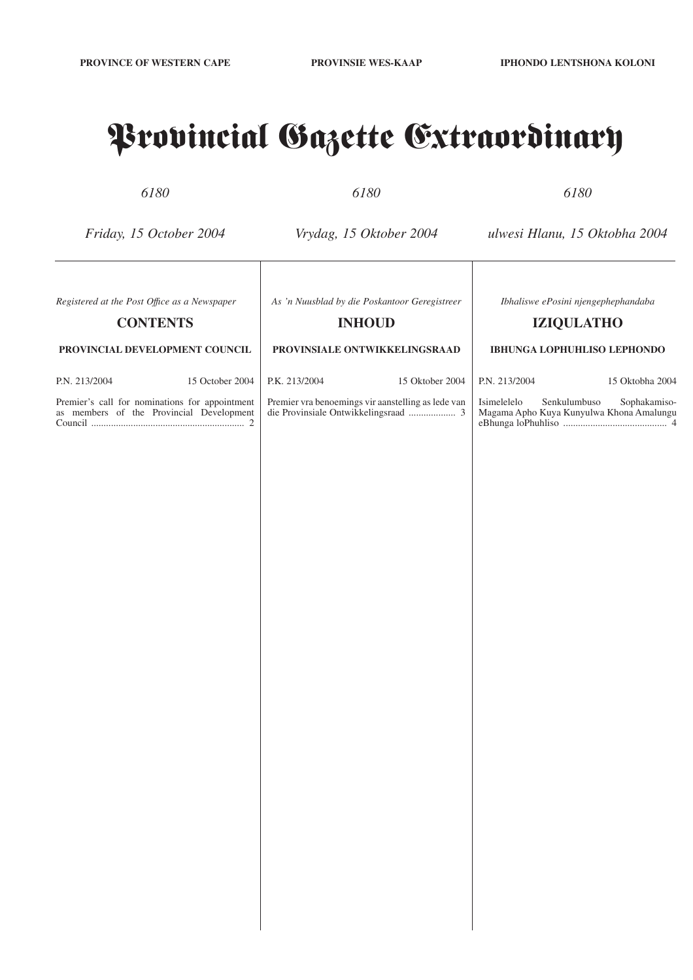# Provincial Gazette Extraordinary

*6180*

*6180*

*6180*

*Friday, 15 October 2004*

*Vrydag, 15 Oktober 2004*

*ulwesi Hlanu, 15 Oktobha 2004*

*Ibhaliswe ePosini njengephephandaba* **IZIQULATHO**

**IBHUNGA LOPHUHLISO LEPHONDO**

*Registered at the Post Offıce as a Newspaper*

## **CONTENTS**

**PROVINCIAL DEVELOPMENT COUNCIL**

P.N. 213/2004 15 October 2004

Premier's call for nominations for appointment as members of the Provincial Development Council .............................................................. 2

*As 'n Nuusblad by die Poskantoor Geregistreer*

## **INHOUD**

#### **PROVINSIALE ONTWIKKELINGSRAAD**

Premier vra benoemings vir aanstelling as lede van die Provinsiale Ontwikkelingsraad ................... 3

P.K. 213/2004 15 Oktober 2004

P.N. 213/2004 15 Oktobha 2004

Isimelelelo Senkulumbuso Sophakamiso-Magama Apho Kuya Kunyulwa Khona Amalungu eBhunga loPhuhliso .......................................... 4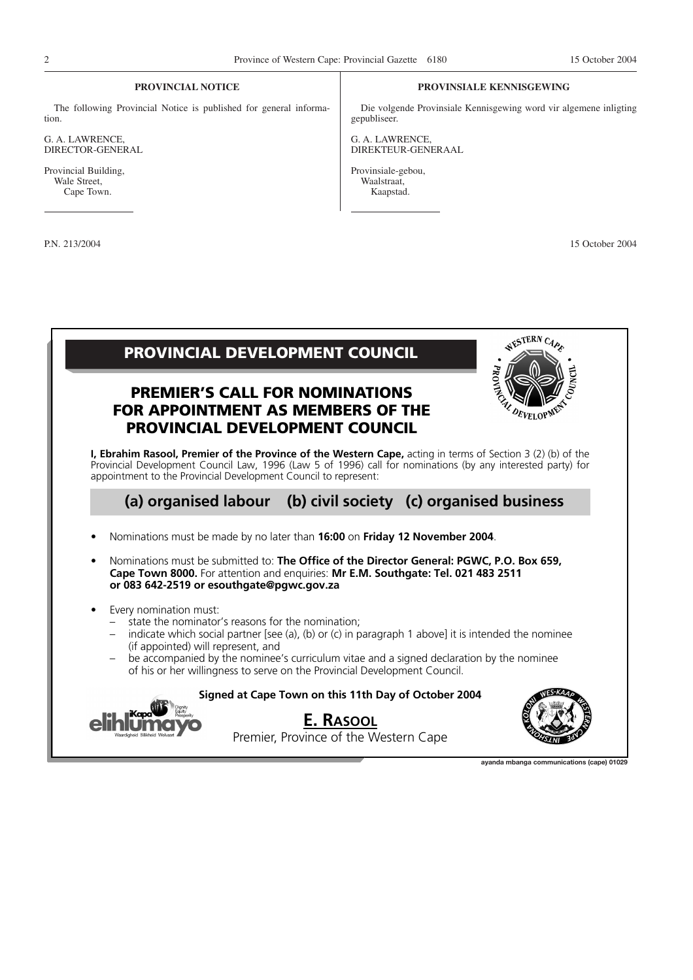### **PROVINCIAL NOTICE**

The following Provincial Notice is published for general information.

G. A. LAWRENCE, DIRECTOR-GENERAL

Provincial Building, Wale Street, Cape Town.

#### **PROVINSIALE KENNISGEWING**

Die volgende Provinsiale Kennisgewing word vir algemene inligting gepubliseer.

G. A. LAWRENCE, DIREKTEUR-GENERAAL

Provinsiale-gebou, Waalstraat, Kaapstad.

P.N. 213/2004 15 October 2004



**ayanda mbanga communications (cape) 01029**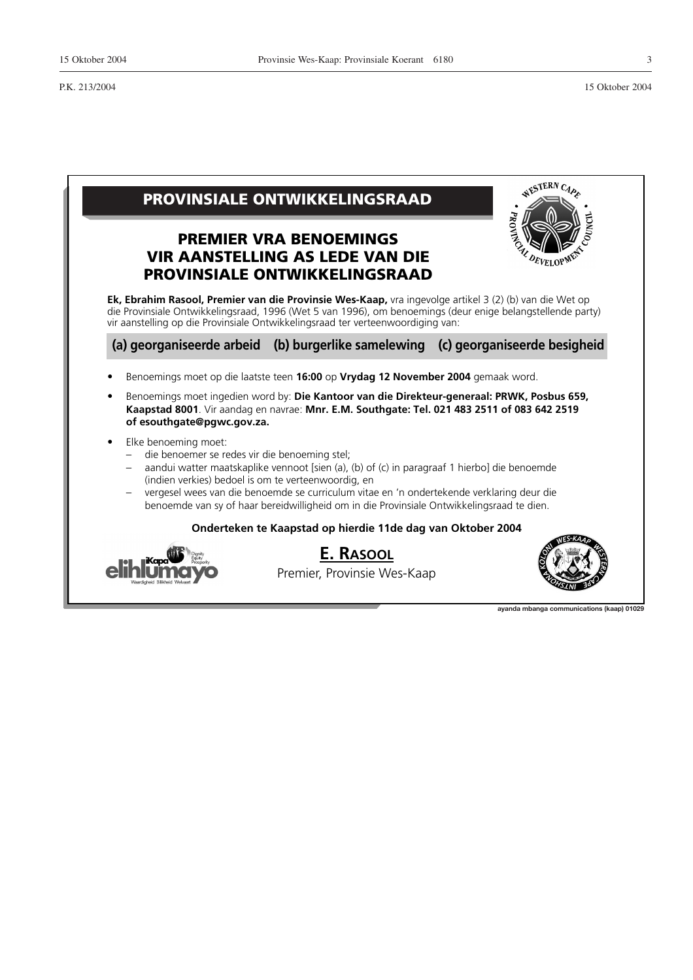

**ayanda mbanga communications (kaap) 01029**